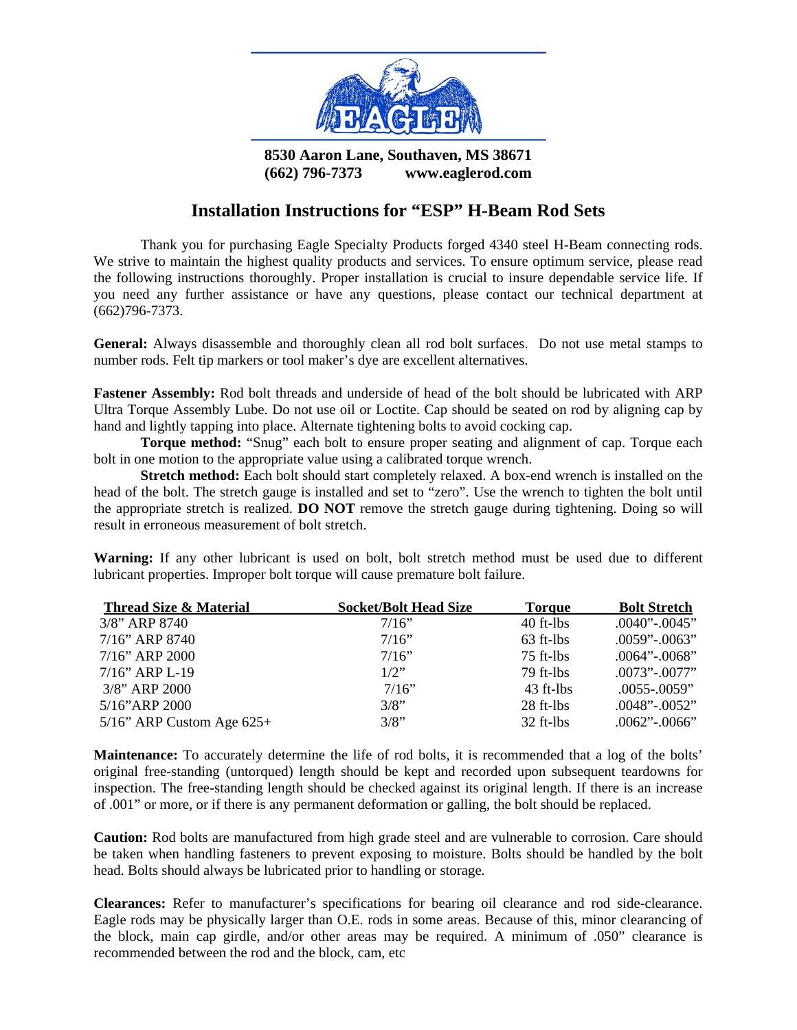

**8530 Aaron Lane, Southaven, MS 38671 (662) 796-7373 www.eaglerod.com** 

## **Installation Instructions for "ESP" H-Beam Rod Sets**

Thank you for purchasing Eagle Specialty Products forged 4340 steel H-Beam connecting rods. We strive to maintain the highest quality products and services. To ensure optimum service, please read the following instructions thoroughly. Proper installation is crucial to insure dependable service life. If you need any further assistance or have any questions, please contact our technical department at (662)796-7373.

**General:** Always disassemble and thoroughly clean all rod bolt surfaces. Do not use metal stamps to number rods. Felt tip markers or tool maker's dye are excellent alternatives.

**Fastener Assembly:** Rod bolt threads and underside of head of the bolt should be lubricated with ARP Ultra Torque Assembly Lube. Do not use oil or Loctite. Cap should be seated on rod by aligning cap by hand and lightly tapping into place. Alternate tightening bolts to avoid cocking cap.

**Torque method:** "Snug" each bolt to ensure proper seating and alignment of cap. Torque each bolt in one motion to the appropriate value using a calibrated torque wrench.

**Stretch method:** Each bolt should start completely relaxed. A box-end wrench is installed on the head of the bolt. The stretch gauge is installed and set to "zero". Use the wrench to tighten the bolt until the appropriate stretch is realized. **DO NOT** remove the stretch gauge during tightening. Doing so will result in erroneous measurement of bolt stretch.

**Warning:** If any other lubricant is used on bolt, bolt stretch method must be used due to different lubricant properties. Improper bolt torque will cause premature bolt failure.

| Thread Size & Material         | <b>Socket/Bolt Head Size</b> | <b>Torque</b> | <b>Bolt Stretch</b>  |
|--------------------------------|------------------------------|---------------|----------------------|
| $3/8$ " ARP 8740               | 7/16"                        | $40$ ft-lbs   | $.0040$ " $-.0045$ " |
| 7/16" ARP 8740                 | 7/16"                        | $63$ ft-lbs   | $.0059"-.0063"$      |
| $7/16$ " ARP 2000              | 7/16"                        | $75$ ft-lbs   | $.0064$ " $-.0068$ " |
| $7/16$ " ARP L-19              | $1/2$ "                      | $79$ ft-lbs   | $.0073"$ -.0077"     |
| $3/8$ " ARP 2000               | 7/16"                        | $43$ ft-lbs   | $.0055 - .0059$ "    |
| $5/16$ "ARP 2000               | 3/8"                         | $28$ ft-lbs   | $.0048$ " $-.0052$ " |
| $5/16$ " ARP Custom Age $625+$ | 3/8"                         | $32$ ft-lbs   | $.0062$ " $-.0066$ " |

**Maintenance:** To accurately determine the life of rod bolts, it is recommended that a log of the bolts' original free-standing (untorqued) length should be kept and recorded upon subsequent teardowns for inspection. The free-standing length should be checked against its original length. If there is an increase of .001" or more, or if there is any permanent deformation or galling, the bolt should be replaced.

**Caution:** Rod bolts are manufactured from high grade steel and are vulnerable to corrosion. Care should be taken when handling fasteners to prevent exposing to moisture. Bolts should be handled by the bolt head. Bolts should always be lubricated prior to handling or storage.

**Clearances:** Refer to manufacturer's specifications for bearing oil clearance and rod side-clearance. Eagle rods may be physically larger than O.E. rods in some areas. Because of this, minor clearancing of the block, main cap girdle, and/or other areas may be required. A minimum of .050" clearance is recommended between the rod and the block, cam, etc